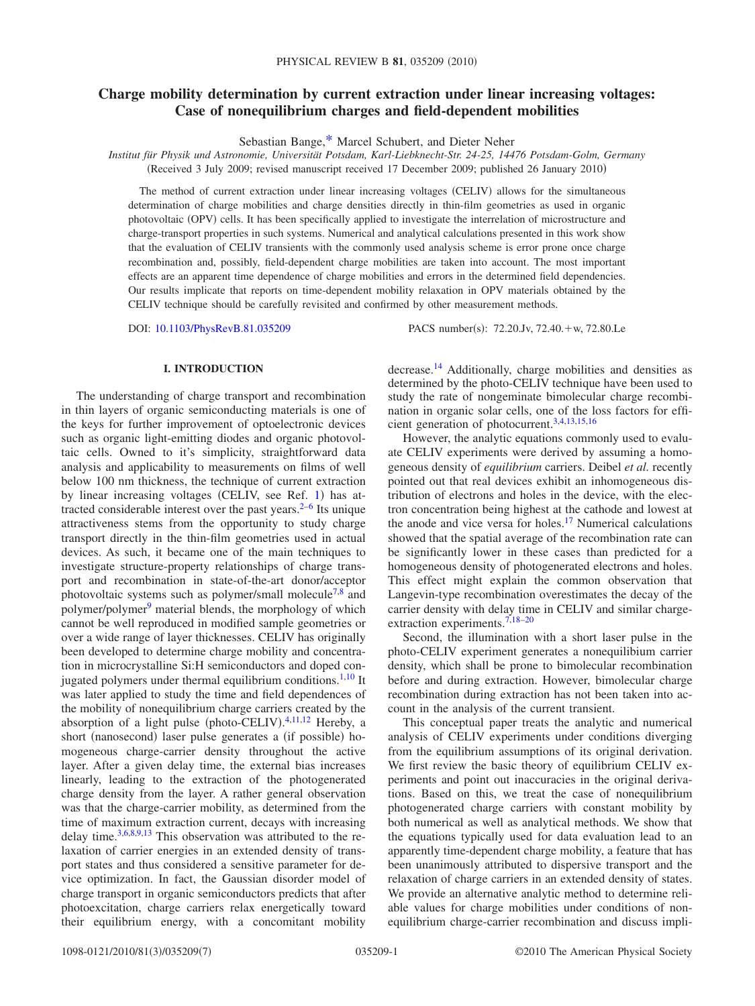# **Charge mobility determination by current extraction under linear increasing voltages: Case of nonequilibrium charges and field-dependent mobilities**

Sebastian Bange[,\\*](#page-5-0) Marcel Schubert, and Dieter Neher

*Institut für Physik und Astronomie, Universität Potsdam, Karl-Liebknecht-Str. 24-25, 14476 Potsdam-Golm, Germany* (Received 3 July 2009; revised manuscript received 17 December 2009; published 26 January 2010)

The method of current extraction under linear increasing voltages (CELIV) allows for the simultaneous determination of charge mobilities and charge densities directly in thin-film geometries as used in organic photovoltaic (OPV) cells. It has been specifically applied to investigate the interrelation of microstructure and charge-transport properties in such systems. Numerical and analytical calculations presented in this work show that the evaluation of CELIV transients with the commonly used analysis scheme is error prone once charge recombination and, possibly, field-dependent charge mobilities are taken into account. The most important effects are an apparent time dependence of charge mobilities and errors in the determined field dependencies. Our results implicate that reports on time-dependent mobility relaxation in OPV materials obtained by the CELIV technique should be carefully revisited and confirmed by other measurement methods.

DOI: [10.1103/PhysRevB.81.035209](http://dx.doi.org/10.1103/PhysRevB.81.035209)

PACS number(s): 72.20.Jv, 72.40.+w, 72.80.Le

### **I. INTRODUCTION**

The understanding of charge transport and recombination in thin layers of organic semiconducting materials is one of the keys for further improvement of optoelectronic devices such as organic light-emitting diodes and organic photovoltaic cells. Owned to it's simplicity, straightforward data analysis and applicability to measurements on films of well below 100 nm thickness, the technique of current extraction by linear increasing voltages (CELIV, see Ref. [1](#page-5-1)) has attracted considerable interest over the past years. $2-6$  Its unique attractiveness stems from the opportunity to study charge transport directly in the thin-film geometries used in actual devices. As such, it became one of the main techniques to investigate structure-property relationships of charge transport and recombination in state-of-the-art donor/acceptor photovoltaic systems such as polymer/small molecule<sup>7,[8](#page-5-5)</sup> and polymer/polymer<sup>9</sup> material blends, the morphology of which cannot be well reproduced in modified sample geometries or over a wide range of layer thicknesses. CELIV has originally been developed to determine charge mobility and concentration in microcrystalline Si:H semiconductors and doped con-jugated polymers under thermal equilibrium conditions.<sup>1[,10](#page-5-7)</sup> It was later applied to study the time and field dependences of the mobility of nonequilibrium charge carriers created by the absorption of a light pulse (photo-CELIV). $4,11,12$  $4,11,12$  $4,11,12$  Hereby, a short (nanosecond) laser pulse generates a (if possible) homogeneous charge-carrier density throughout the active layer. After a given delay time, the external bias increases linearly, leading to the extraction of the photogenerated charge density from the layer. A rather general observation was that the charge-carrier mobility, as determined from the time of maximum extraction current, decays with increasing delay time[.3](#page-5-11)[,6](#page-5-3)[,8](#page-5-5)[,9,](#page-5-6)[13](#page-5-12) This observation was attributed to the relaxation of carrier energies in an extended density of transport states and thus considered a sensitive parameter for device optimization. In fact, the Gaussian disorder model of charge transport in organic semiconductors predicts that after photoexcitation, charge carriers relax energetically toward their equilibrium energy, with a concomitant mobility

decrease[.14](#page-5-13) Additionally, charge mobilities and densities as determined by the photo-CELIV technique have been used to study the rate of nongeminate bimolecular charge recombination in organic solar cells, one of the loss factors for efficient generation of photocurrent[.3](#page-5-11)[,4,](#page-5-8)[13](#page-5-12)[,15](#page-5-14)[,16](#page-5-15)

However, the analytic equations commonly used to evaluate CELIV experiments were derived by assuming a homogeneous density of *equilibrium* carriers. Deibel *et al.* recently pointed out that real devices exhibit an inhomogeneous distribution of electrons and holes in the device, with the electron concentration being highest at the cathode and lowest at the anode and vice versa for holes[.17](#page-6-0) Numerical calculations showed that the spatial average of the recombination rate can be significantly lower in these cases than predicted for a homogeneous density of photogenerated electrons and holes. This effect might explain the common observation that Langevin-type recombination overestimates the decay of the carrier density with delay time in CELIV and similar charge-extraction experiments.<sup>7,[18](#page-6-1)[–20](#page-6-2)</sup>

Second, the illumination with a short laser pulse in the photo-CELIV experiment generates a nonequilibium carrier density, which shall be prone to bimolecular recombination before and during extraction. However, bimolecular charge recombination during extraction has not been taken into account in the analysis of the current transient.

This conceptual paper treats the analytic and numerical analysis of CELIV experiments under conditions diverging from the equilibrium assumptions of its original derivation. We first review the basic theory of equilibrium CELIV experiments and point out inaccuracies in the original derivations. Based on this, we treat the case of nonequilibrium photogenerated charge carriers with constant mobility by both numerical as well as analytical methods. We show that the equations typically used for data evaluation lead to an apparently time-dependent charge mobility, a feature that has been unanimously attributed to dispersive transport and the relaxation of charge carriers in an extended density of states. We provide an alternative analytic method to determine reliable values for charge mobilities under conditions of nonequilibrium charge-carrier recombination and discuss impli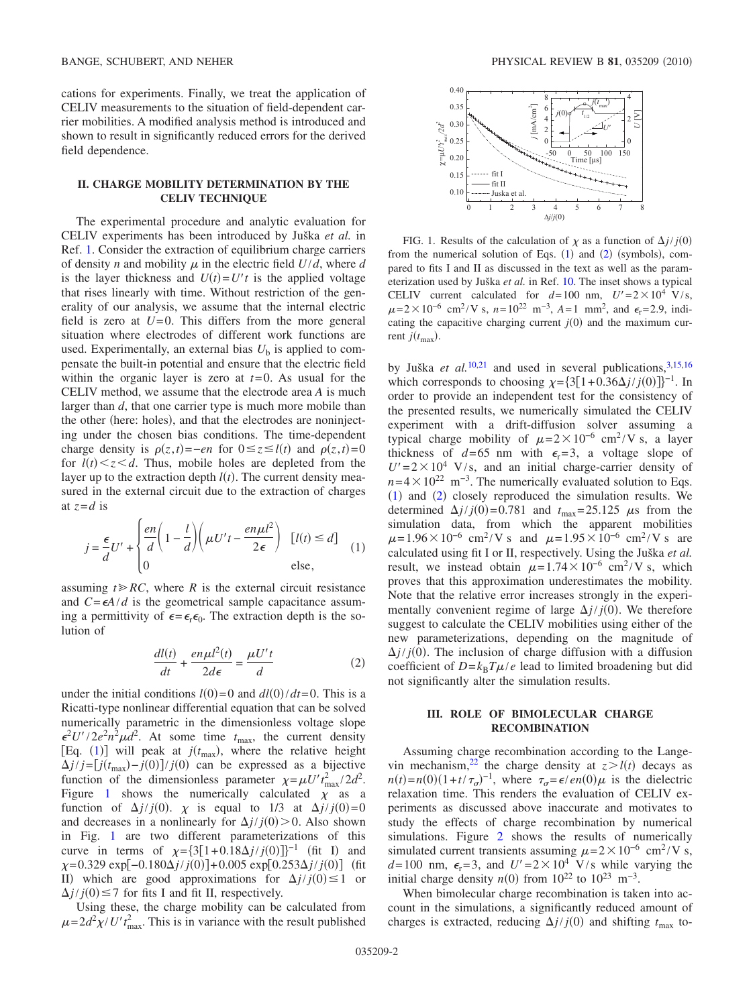cations for experiments. Finally, we treat the application of CELIV measurements to the situation of field-dependent carrier mobilities. A modified analysis method is introduced and shown to result in significantly reduced errors for the derived field dependence.

# **II. CHARGE MOBILITY DETERMINATION BY THE CELIV TECHNIQUE**

The experimental procedure and analytic evaluation for CELIV experiments has been introduced by Juška *et al.* in Ref. [1.](#page-5-1) Consider the extraction of equilibrium charge carriers of density *n* and mobility  $\mu$  in the electric field  $U/d$ , where *d* is the layer thickness and  $U(t) = U't$  is the applied voltage that rises linearly with time. Without restriction of the generality of our analysis, we assume that the internal electric field is zero at  $U=0$ . This differs from the more general situation where electrodes of different work functions are used. Experimentally, an external bias  $U<sub>b</sub>$  is applied to compensate the built-in potential and ensure that the electric field within the organic layer is zero at  $t=0$ . As usual for the CELIV method, we assume that the electrode area *A* is much larger than *d*, that one carrier type is much more mobile than the other (here: holes), and that the electrodes are noninjecting under the chosen bias conditions. The time-dependent charge density is  $\rho(z,t) = -en$  for  $0 \le z \le l(t)$  and  $\rho(z,t) = 0$ for  $l(t) \leq z \leq d$ . Thus, mobile holes are depleted from the layer up to the extraction depth  $l(t)$ . The current density measured in the external circuit due to the extraction of charges at  $z = d$  is

<span id="page-1-0"></span>
$$
j = \frac{\epsilon}{d} U' + \begin{cases} \frac{en}{d} \left( 1 - \frac{l}{d} \right) \left( \mu U' t - \frac{en \mu l^2}{2\epsilon} \right) & [l(t) \le d] \\ 0 & \text{else,} \end{cases}
$$
 (1)

assuming  $t \geqslant RC$ , where R is the external circuit resistance and  $C = \epsilon A/d$  is the geometrical sample capacitance assuming a permittivity of  $\epsilon = \epsilon_{r}\epsilon_{0}$ . The extraction depth is the solution of

$$
\frac{dl(t)}{dt} + \frac{en\mu l^2(t)}{2d\epsilon} = \frac{\mu U't}{d}
$$
 (2)

<span id="page-1-2"></span>under the initial conditions  $l(0)=0$  and  $dl(0)/dt=0$ . This is a Ricatti-type nonlinear differential equation that can be solved numerically parametric in the dimensionless voltage slope  $\epsilon^2 U'/2e^2 n^2 \mu d^2$ . At some time  $t_{\text{max}}$ , the current density [Eq. ([1](#page-1-0))] will peak at  $j(t_{\text{max}})$ , where the relative height  $\Delta j / j = [j(t_{\text{max}}) - j(0)] / j(0)$  can be expressed as a bijective function of the dimensionless parameter  $\chi = \mu U' t_{\text{max}}^2 / 2d^2$ . Figure [1](#page-1-1) shows the numerically calculated  $\chi$  as a function of  $\Delta j / j(0)$ .  $\chi$  is equal to 1/3 at  $\Delta j / j(0) = 0$ and decreases in a nonlinearly for  $\Delta j / j(0) > 0$ . Also shown in Fig. [1](#page-1-1) are two different parameterizations of this curve in terms of  $\chi = \{3[1+0.18\Delta j / j(0)]\}^{-1}$  (fit I) and  $\chi$ =0.329 exp[-0.180Δ*j*/*j*(0)]+0.005 exp[0.253Δ*j*/*j*(0)] (fit II) which are good approximations for  $\Delta j / j(0) \leq 1$  or  $\Delta j / j(0) \le 7$  for fits I and fit II, respectively.

Using these, the charge mobility can be calculated from  $\mu = 2d^2\chi / U' t_{\text{max}}^2$ . This is in variance with the result published

<span id="page-1-1"></span>

FIG. 1. Results of the calculation of  $\chi$  as a function of  $\Delta j / j(0)$ from the numerical solution of Eqs.  $(1)$  $(1)$  $(1)$  and  $(2)$  $(2)$  $(2)$  (symbols), compared to fits I and II as discussed in the text as well as the parameterization used by Juška *et al.* in Ref. [10.](#page-5-7) The inset shows a typical CELIV current calculated for  $d=100$  nm,  $U'=2\times10^4$  V/s,  $\mu = 2 \times 10^{-6}$  cm<sup>2</sup>/V s,  $n = 10^{22}$  m<sup>-3</sup>,  $A = 1$  mm<sup>2</sup>, and  $\epsilon_r = 2.9$ , indicating the capacitive charging current  $j(0)$  and the maximum current  $j(t_{\text{max}})$ .

by Juška *et al.*<sup>[10](#page-5-7)[,21](#page-6-3)</sup> and used in several publications,<sup>3,[15](#page-5-14)[,16](#page-5-15)</sup> which corresponds to choosing  $\chi = \{3[1+0.36\Delta j/j(0)]\}^{-1}$ . In order to provide an independent test for the consistency of the presented results, we numerically simulated the CELIV experiment with a drift-diffusion solver assuming a typical charge mobility of  $\mu = 2 \times 10^{-6}$  cm<sup>2</sup>/V s, a layer thickness of  $d= 65$  nm with  $\epsilon_r=3$ , a voltage slope of  $U' = 2 \times 10^4$  V/s, and an initial charge-carrier density of  $n=4\times10^{22}$  m<sup>-3</sup>. The numerically evaluated solution to Eqs.  $(1)$  $(1)$  $(1)$  and  $(2)$  $(2)$  $(2)$  closely reproduced the simulation results. We determined  $\Delta j / j(0) = 0.781$  and  $t_{\text{max}} = 25.125 \mu s$  from the simulation data, from which the apparent mobilities  $\mu = 1.96 \times 10^{-6}$  cm<sup>2</sup>/V s and  $\mu = 1.95 \times 10^{-6}$  cm<sup>2</sup>/V s are calculated using fit I or II, respectively. Using the Juška *et al.* result, we instead obtain  $\mu = 1.74 \times 10^{-6}$  cm<sup>2</sup>/V s, which proves that this approximation underestimates the mobility. Note that the relative error increases strongly in the experimentally convenient regime of large  $\Delta j / j(0)$ . We therefore suggest to calculate the CELIV mobilities using either of the new parameterizations, depending on the magnitude of  $\Delta j / j(0)$ . The inclusion of charge diffusion with a diffusion coefficient of  $D = k_B T \mu / e$  lead to limited broadening but did not significantly alter the simulation results.

#### **III. ROLE OF BIMOLECULAR CHARGE RECOMBINATION**

Assuming charge recombination according to the Langevin mechanism, <sup>22</sup> the charge density at  $z > l(t)$  decays as  $n(t) = n(0)(1 + t/\tau_{\sigma})^{-1}$ , where  $\tau_{\sigma} = \epsilon / en(0)\mu$  is the dielectric relaxation time. This renders the evaluation of CELIV experiments as discussed above inaccurate and motivates to study the effects of charge recombination by numerical simulations. Figure [2](#page-2-0) shows the results of numerically simulated current transients assuming  $\mu = 2 \times 10^{-6}$  cm<sup>2</sup>/V s,  $d= 100$  nm,  $\epsilon_r = 3$ , and  $U' = 2 \times 10^4$  V/s while varying the initial charge density  $n(0)$  from  $10^{22}$  to  $10^{23}$  m<sup>-3</sup>.

When bimolecular charge recombination is taken into account in the simulations, a significantly reduced amount of charges is extracted, reducing  $\Delta j / j(0)$  and shifting  $t_{\text{max}}$  to-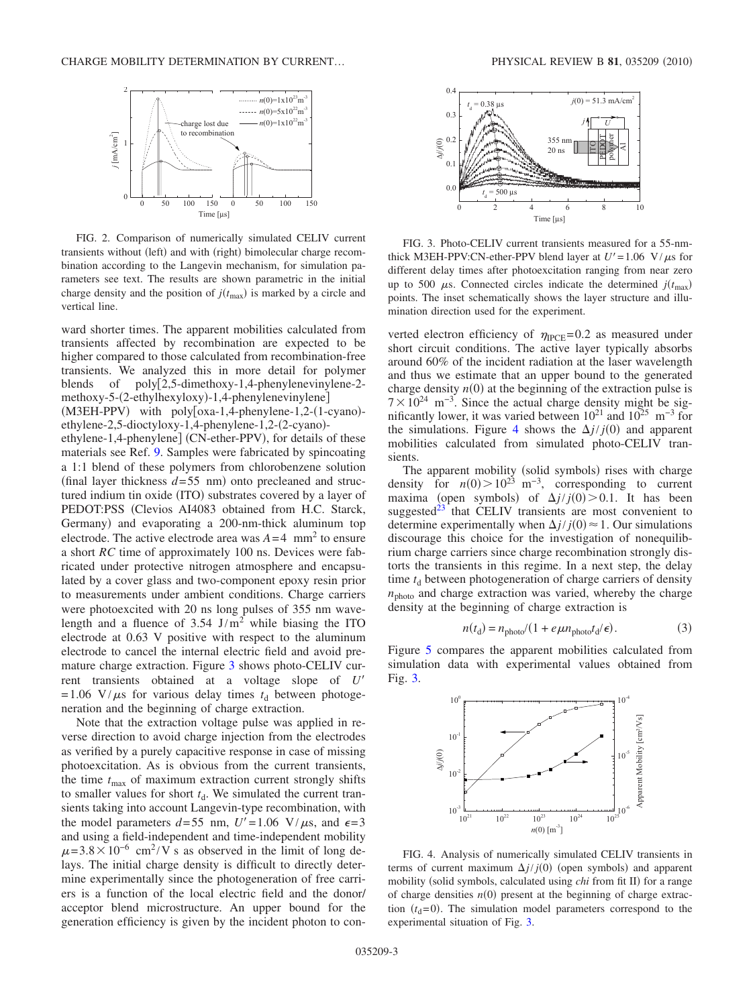<span id="page-2-0"></span>

FIG. 2. Comparison of numerically simulated CELIV current transients without (left) and with (right) bimolecular charge recombination according to the Langevin mechanism, for simulation parameters see text. The results are shown parametric in the initial charge density and the position of  $j(t_{\text{max}})$  is marked by a circle and vertical line.

ward shorter times. The apparent mobilities calculated from transients affected by recombination are expected to be higher compared to those calculated from recombination-free transients. We analyzed this in more detail for polymer blends of poly2,5-dimethoxy-1,4-phenylenevinylene-2 methoxy-5-(2-ethylhexyloxy)-1,4-phenylenevinylene]

 $(M3EH-PPV)$  with poly[oxa-1,4-phenylene-1,2-(1-cyano)ethylene-2,5-dioctyloxy-1,4-phenylene-1,2-(2-cyano)-

ethylene-1,4-phenylene] (CN-ether-PPV), for details of these materials see Ref. [9.](#page-5-6) Samples were fabricated by spincoating a 1:1 blend of these polymers from chlorobenzene solution (final layer thickness  $d=55$  nm) onto precleaned and structured indium tin oxide (ITO) substrates covered by a layer of PEDOT:PSS (Clevios AI4083 obtained from H.C. Starck, Germany) and evaporating a 200-nm-thick aluminum top electrode. The active electrode area was  $A = 4$  mm<sup>2</sup> to ensure a short *RC* time of approximately 100 ns. Devices were fabricated under protective nitrogen atmosphere and encapsulated by a cover glass and two-component epoxy resin prior to measurements under ambient conditions. Charge carriers were photoexcited with 20 ns long pulses of 355 nm wavelength and a fluence of  $3.54$  J/m<sup>2</sup> while biasing the ITO electrode at 0.63 V positive with respect to the aluminum electrode to cancel the internal electric field and avoid premature charge extraction. Figure [3](#page-2-1) shows photo-CELIV current transients obtained at a voltage slope of *U*  $= 1.06$  V/ $\mu$ s for various delay times  $t_d$  between photogeneration and the beginning of charge extraction.

Note that the extraction voltage pulse was applied in reverse direction to avoid charge injection from the electrodes as verified by a purely capacitive response in case of missing photoexcitation. As is obvious from the current transients, the time  $t_{\text{max}}$  of maximum extraction current strongly shifts to smaller values for short  $t_d$ . We simulated the current transients taking into account Langevin-type recombination, with the model parameters  $d=55$  nm,  $U'=1.06$  V/ $\mu$ s, and  $\epsilon=3$ and using a field-independent and time-independent mobility  $\mu$ =3.8 × 10<sup>-6</sup> cm<sup>2</sup>/V s as observed in the limit of long delays. The initial charge density is difficult to directly determine experimentally since the photogeneration of free carriers is a function of the local electric field and the donor/ acceptor blend microstructure. An upper bound for the generation efficiency is given by the incident photon to con-

<span id="page-2-1"></span>

FIG. 3. Photo-CELIV current transients measured for a 55-nmthick M3EH-PPV:CN-ether-PPV blend layer at  $U' = 1.06$  V/ $\mu$ s for different delay times after photoexcitation ranging from near zero up to 500  $\mu$ s. Connected circles indicate the determined  $j(t_{\text{max}})$ points. The inset schematically shows the layer structure and illumination direction used for the experiment.

verted electron efficiency of  $\eta_{\text{PCE}}$ =0.2 as measured under short circuit conditions. The active layer typically absorbs around 60% of the incident radiation at the laser wavelength and thus we estimate that an upper bound to the generated charge density  $n(0)$  at the beginning of the extraction pulse is  $7 \times 10^{24}$  m<sup>-3</sup>. Since the actual charge density might be significantly lower, it was varied between  $10^{21}$  and  $10^{25}$  m<sup>-3</sup> for the simulations. Figure [4](#page-2-2) shows the  $\Delta j / j(0)$  and apparent mobilities calculated from simulated photo-CELIV transients.

The apparent mobility (solid symbols) rises with charge density for  $n(0) > 10^{23}$  m<sup>-3</sup>, corresponding to current maxima (open symbols) of  $\Delta j / j(0) > 0.1$ . It has been suggested $^{23}$  that CELIV transients are most convenient to determine experimentally when  $\Delta j / j(0) \approx 1$ . Our simulations discourage this choice for the investigation of nonequilibrium charge carriers since charge recombination strongly distorts the transients in this regime. In a next step, the delay time  $t<sub>d</sub>$  between photogeneration of charge carriers of density  $n<sub>photo</sub>$  and charge extraction was varied, whereby the charge density at the beginning of charge extraction is

$$
n(t_{\rm d}) = n_{\rm photo}/(1 + e\mu n_{\rm photo}t_{\rm d}/\epsilon). \tag{3}
$$

<span id="page-2-3"></span>Figure [5](#page-3-0) compares the apparent mobilities calculated from simulation data with experimental values obtained from Fig. [3.](#page-2-1)

<span id="page-2-2"></span>

FIG. 4. Analysis of numerically simulated CELIV transients in terms of current maximum  $\Delta j / j(0)$  (open symbols) and apparent mobility (solid symbols, calculated using *chi* from fit II) for a range of charge densities  $n(0)$  present at the beginning of charge extraction  $(t_d=0)$ . The simulation model parameters correspond to the experimental situation of Fig. [3.](#page-2-1)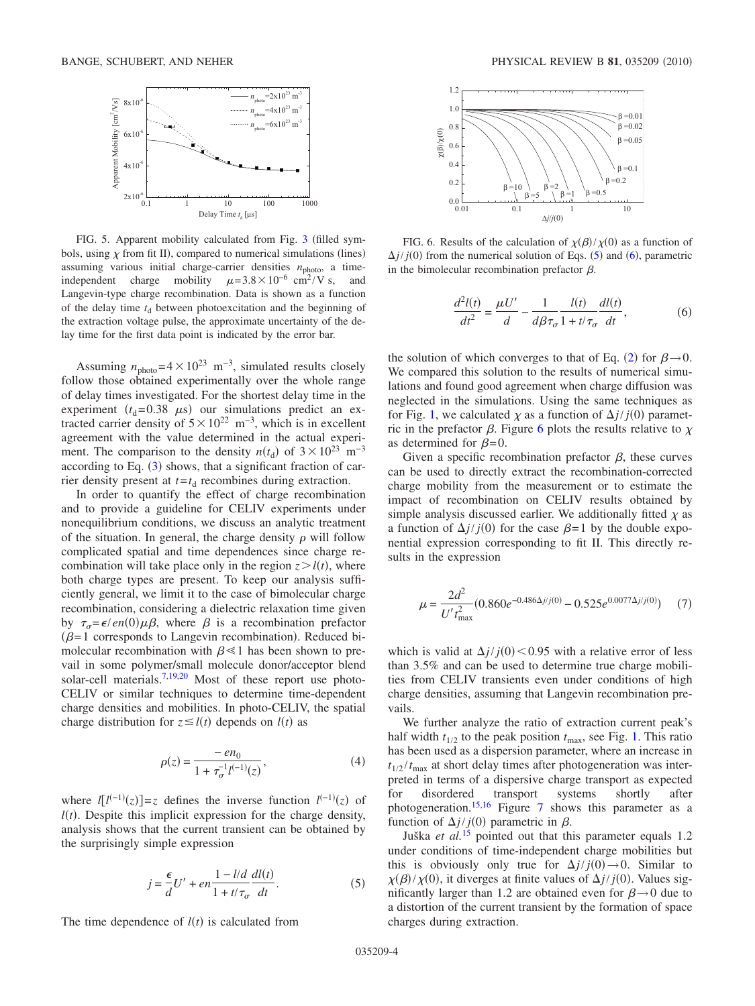<span id="page-3-0"></span>

FIG. 5. Apparent mobility calculated from Fig. [3](#page-2-1) (filled symbols, using  $\chi$  from fit II), compared to numerical simulations (lines) assuming various initial charge-carrier densities  $n_{\text{photo}}$ , a timeindependent charge mobility  $\mu = 3.8 \times 10^{-6}$  cm<sup>2</sup>/V s, and Langevin-type charge recombination. Data is shown as a function of the delay time  $t_d$  between photoexcitation and the beginning of the extraction voltage pulse, the approximate uncertainty of the delay time for the first data point is indicated by the error bar.

Assuming  $n_{\text{photo}} = 4 \times 10^{23} \text{ m}^{-3}$ , simulated results closely follow those obtained experimentally over the whole range of delay times investigated. For the shortest delay time in the experiment  $(t_d=0.38 \mu s)$  our simulations predict an extracted carrier density of  $5 \times 10^{22}$  m<sup>-3</sup>, which is in excellent agreement with the value determined in the actual experiment. The comparison to the density  $n(t_d)$  of  $3 \times 10^{23}$  m<sup>-3</sup> according to Eq. ([3](#page-2-3)) shows, that a significant fraction of carrier density present at  $t = t_d$  recombines during extraction.

In order to quantify the effect of charge recombination and to provide a guideline for CELIV experiments under nonequilibrium conditions, we discuss an analytic treatment of the situation. In general, the charge density  $\rho$  will follow complicated spatial and time dependences since charge recombination will take place only in the region  $z > l(t)$ , where both charge types are present. To keep our analysis sufficiently general, we limit it to the case of bimolecular charge recombination, considering a dielectric relaxation time given by  $\tau_{\sigma} = \epsilon / en(0) \mu \beta$ , where  $\beta$  is a recombination prefactor  $(\beta=1$  corresponds to Langevin recombination). Reduced bimolecular recombination with  $\beta \ll 1$  has been shown to prevail in some polymer/small molecule donor/acceptor blend solar-cell materials.<sup>7[,19,](#page-6-6)[20](#page-6-2)</sup> Most of these report use photo-CELIV or similar techniques to determine time-dependent charge densities and mobilities. In photo-CELIV, the spatial charge distribution for  $z \leq l(t)$  depends on  $l(t)$  as

$$
\rho(z) = \frac{-e n_0}{1 + \tau_o^{-1} l^{(-1)}(z)},\tag{4}
$$

where  $l[l^{(-1)}(z)] = z$  defines the inverse function  $l^{(-1)}(z)$  of  $l(t)$ . Despite this implicit expression for the charge density, analysis shows that the current transient can be obtained by the surprisingly simple expression

$$
j = \frac{\epsilon}{d}U' + en\frac{1 - l/d}{1 + t/\tau_{\sigma}}\frac{dl(t)}{dt}.
$$
 (5)

<span id="page-3-2"></span>The time dependence of  $l(t)$  is calculated from

<span id="page-3-1"></span>

<span id="page-3-3"></span>FIG. 6. Results of the calculation of  $\chi(\beta)/\chi(0)$  as a function of  $\Delta j / j(0)$  from the numerical solution of Eqs. ([5](#page-3-2)) and ([6](#page-3-3)), parametric in the bimolecular recombination prefactor  $\beta$ .

$$
\frac{d^2l(t)}{dt^2} = \frac{\mu U'}{d} - \frac{1}{d\beta\tau_\sigma} \frac{l(t)}{1 + t/\tau_\sigma} \frac{dl(t)}{dt},\tag{6}
$$

the solution of which converges to that of Eq. ([2](#page-1-2)) for  $\beta \rightarrow 0$ . We compared this solution to the results of numerical simulations and found good agreement when charge diffusion was neglected in the simulations. Using the same techniques as for Fig. [1,](#page-1-1) we calculated  $\chi$  as a function of  $\Delta j / j(0)$  parametric in the prefactor  $\beta$ . Figure [6](#page-3-1) plots the results relative to  $\chi$ as determined for  $\beta = 0$ .

Given a specific recombination prefactor  $\beta$ , these curves can be used to directly extract the recombination-corrected charge mobility from the measurement or to estimate the impact of recombination on CELIV results obtained by simple analysis discussed earlier. We additionally fitted  $\chi$  as a function of  $\Delta j / j(0)$  for the case  $\beta = 1$  by the double exponential expression corresponding to fit II. This directly results in the expression

$$
\mu = \frac{2d^2}{U't_{\text{max}}^2} (0.860e^{-0.486\Delta j/j(0)} - 0.525e^{0.0077\Delta j/j(0)}) \tag{7}
$$

which is valid at  $\Delta j / j(0)$  < 0.95 with a relative error of less than 3.5% and can be used to determine true charge mobilities from CELIV transients even under conditions of high charge densities, assuming that Langevin recombination prevails.

We further analyze the ratio of extraction current peak's half width  $t_{1/2}$  to the peak position  $t_{\text{max}}$ , see Fig. [1.](#page-1-1) This ratio has been used as a dispersion parameter, where an increase in  $t_{1/2}/t_{\text{max}}$  at short delay times after photogeneration was interpreted in terms of a dispersive charge transport as expected for disordered transport systems shortly after photogeneration[.15](#page-5-14)[,16](#page-5-15) Figure [7](#page-4-0) shows this parameter as a function of  $\Delta j / j(0)$  parametric in  $\beta$ .

Juška *et al.*[15](#page-5-14) pointed out that this parameter equals 1.2 under conditions of time-independent charge mobilities but this is obviously only true for  $\Delta j / j(0) \rightarrow 0$ . Similar to  $\chi(\beta)/\chi(0)$ , it diverges at finite values of  $\Delta j/j(0)$ . Values significantly larger than 1.2 are obtained even for  $\beta \rightarrow 0$  due to a distortion of the current transient by the formation of space charges during extraction.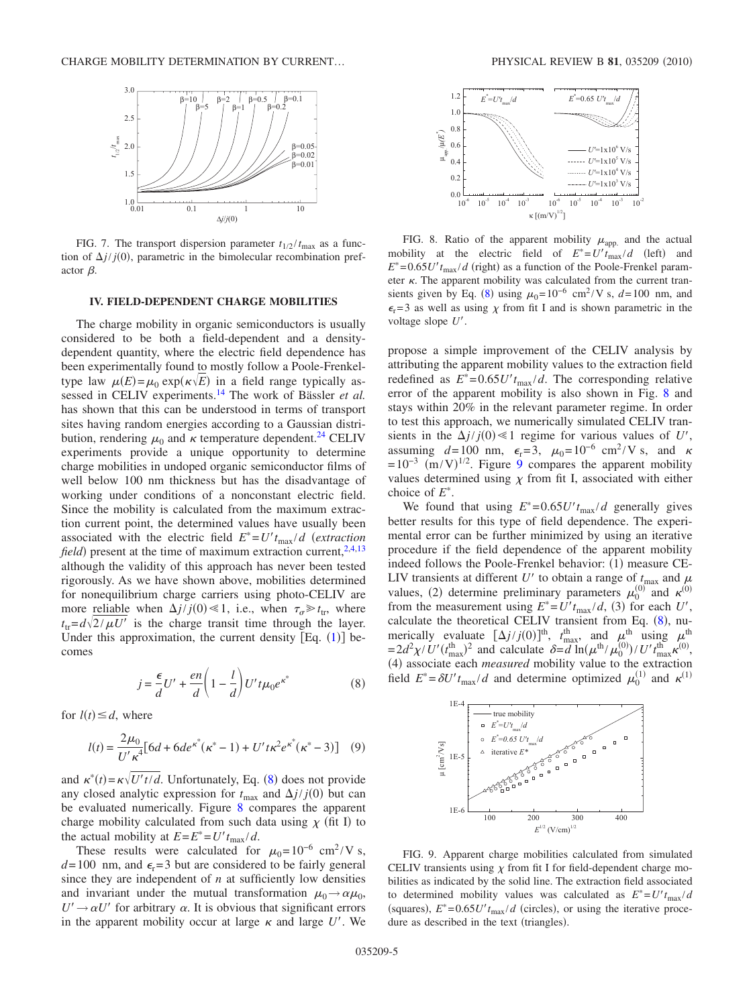<span id="page-4-0"></span>

FIG. 7. The transport dispersion parameter  $t_{1/2}/t_{\text{max}}$  as a function of  $\Delta j / j(0)$ , parametric in the bimolecular recombination prefactor  $\beta$ .

## **IV. FIELD-DEPENDENT CHARGE MOBILITIES**

The charge mobility in organic semiconductors is usually considered to be both a field-dependent and a densitydependent quantity, where the electric field dependence has been experimentally found to mostly follow a Poole-Frenkeltype law  $\mu(E) = \mu_0 \exp(\kappa \sqrt{E})$  in a field range typically assessed in CELIV experiments[.14](#page-5-13) The work of Bässler *et al.* has shown that this can be understood in terms of transport sites having random energies according to a Gaussian distribution, rendering  $\mu_0$  and  $\kappa$  temperature dependent.<sup>24</sup> CELIV experiments provide a unique opportunity to determine charge mobilities in undoped organic semiconductor films of well below 100 nm thickness but has the disadvantage of working under conditions of a nonconstant electric field. Since the mobility is calculated from the maximum extraction current point, the determined values have usually been associated with the electric field  $E^* = U' t_{\text{max}} / d$  (extraction *field*) present at the time of maximum extraction current,<sup>2,[4](#page-5-8)[,13](#page-5-12)</sup> although the validity of this approach has never been tested rigorously. As we have shown above, mobilities determined for nonequilibrium charge carriers using photo-CELIV are more <u>reliable</u> when  $\Delta j / j(0) \ll 1$ , i.e., when  $\tau_{\sigma} \gg t_{tr}$ , where  $t_{tr} = d\sqrt{2/\mu U'}$  is the charge transit time through the layer. Under this approximation, the current density  $[Eq. (1)]$  $[Eq. (1)]$  $[Eq. (1)]$  becomes

$$
j = \frac{\epsilon}{d}U' + \frac{en}{d}\left(1 - \frac{l}{d}\right)U't\mu_0 e^{\kappa^*}
$$
 (8)

<span id="page-4-1"></span>for  $l(t) \leq d$ , where

$$
l(t) = \frac{2\mu_0}{U' \kappa^4} [6d + 6de^{\kappa^*}(\kappa^* - 1) + U' t \kappa^2 e^{\kappa^*}(\kappa^* - 3)] \quad (9)
$$

and  $\kappa^*(t) = \kappa \sqrt{U' t / d}$ . Unfortunately, Eq. ([8](#page-4-1)) does not provide any closed analytic expression for  $t_{\text{max}}$  and  $\Delta j / j(0)$  but can be evaluated numerically. Figure [8](#page-4-2) compares the apparent charge mobility calculated from such data using  $\chi$  (fit I) to the actual mobility at  $E = E^* = U' t_{\text{max}} / d$ .

These results were calculated for  $\mu_0 = 10^{-6}$  cm<sup>2</sup>/V s,  $d= 100$  nm, and  $\epsilon_r=3$  but are considered to be fairly general since they are independent of  $n$  at sufficiently low densities and invariant under the mutual transformation  $\mu_0 \rightarrow \alpha \mu_0$ ,  $U' \rightarrow \alpha U'$  for arbitrary  $\alpha$ . It is obvious that significant errors in the apparent mobility occur at large  $\kappa$  and large  $U'$ . We

<span id="page-4-2"></span>

FIG. 8. Ratio of the apparent mobility  $\mu_{app.}$  and the actual mobility at the electric field of  $E^* = U't_{\text{max}}/d$  (left) and  $E^*$ =0.65*U'* $t_{\text{max}}/d$  (right) as a function of the Poole-Frenkel parameter  $\kappa$ . The apparent mobility was calculated from the current tran-sients given by Eq. ([8](#page-4-1)) using  $\mu_0 = 10^{-6}$  cm<sup>2</sup>/V s,  $d = 100$  nm, and  $\epsilon_r$ =3 as well as using  $\chi$  from fit I and is shown parametric in the voltage slope *U*.

propose a simple improvement of the CELIV analysis by attributing the apparent mobility values to the extraction field redefined as  $E^* = 0.65U' t_{\text{max}}/d$ . The corresponding relative error of the apparent mobility is also shown in Fig. [8](#page-4-2) and stays within 20% in the relevant parameter regime. In order to test this approach, we numerically simulated CELIV transients in the  $\Delta j / j(0) \ll 1$  regime for various values of *U'*, assuming  $d=100$  nm,  $\epsilon_r = 3$ ,  $\mu_0 = 10^{-6}$  cm<sup>2</sup>/V s, and  $\kappa$  $= 10^{-3}$  (m/V)<sup>1/2</sup>. Figure [9](#page-4-3) compares the apparent mobility values determined using  $\chi$  from fit I, associated with either choice of *E* .

We found that using  $E^* = 0.65U' t_{\text{max}} / d$  generally gives better results for this type of field dependence. The experimental error can be further minimized by using an iterative procedure if the field dependence of the apparent mobility indeed follows the Poole-Frenkel behavior: (1) measure CE-LIV transients at different *U'* to obtain a range of  $t_{\text{max}}$  and  $\mu$  values, (2) determine preliminary parameters  $\mu_0^{(0)}$  and  $\kappa^{(0)}$ from the measurement using  $E^* = U' t_{\text{max}} / d$ , (3) for each *U'*, calculate the theoretical CELIV transient from Eq.  $(8)$  $(8)$  $(8)$ , numerically evaluate  $[\Delta j / j(0)]^{\text{th}}$ ,  $t_{\text{max}}^{\text{th}}$ , and  $\mu_{\text{max}}^{\text{th}}$  using  $\mu_{\text{max}}^{\text{th}}$  $= 2d^2\chi / U'(t_{\text{max}}^{\text{th}})^2$  and calculate  $\delta = d \ln(\mu^{\text{th}}/\mu_0^{(0)})/U' t_{\text{max}}^{\text{th}} \kappa^{(0)},$ (4) associate each *measured* mobility value to the extraction field  $E^* = \delta U' t_{\text{max}} / d$  and determine optimized  $\mu_0^{(1)}$  and  $\kappa^{(1)}$ 

<span id="page-4-3"></span>

FIG. 9. Apparent charge mobilities calculated from simulated CELIV transients using  $\chi$  from fit I for field-dependent charge mobilities as indicated by the solid line. The extraction field associated to determined mobility values was calculated as  $E^* = U^t t_{\text{max}}/d$ (squares),  $E^* = 0.65U' t_{\text{max}}/d$  (circles), or using the iterative procedure as described in the text (triangles).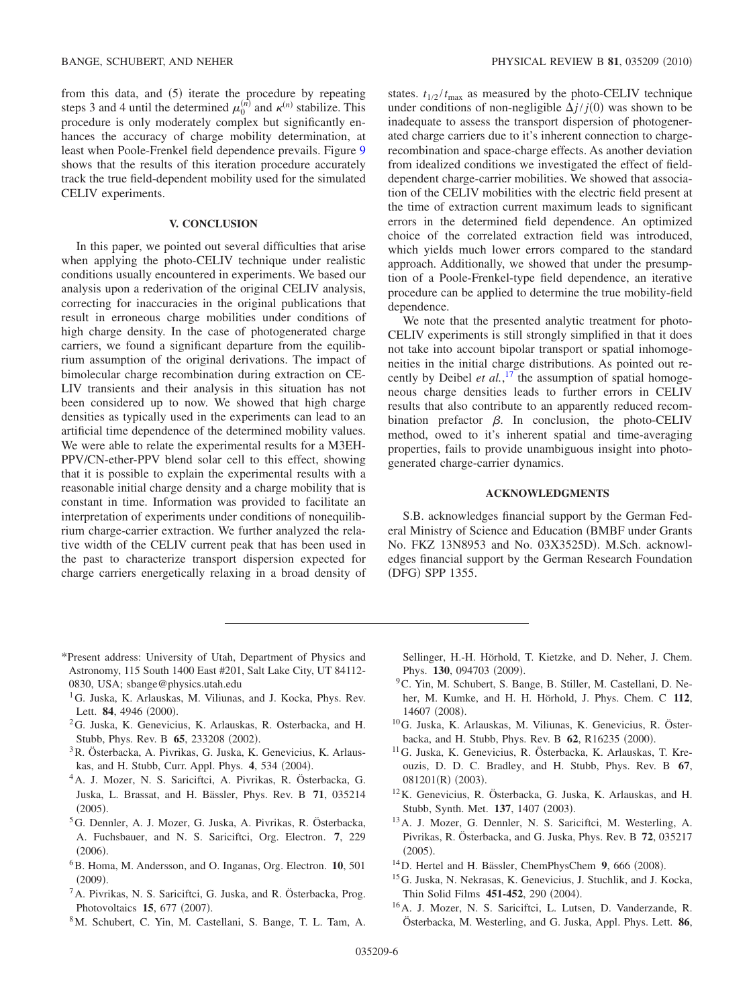from this data, and (5) iterate the procedure by repeating steps 3 and 4 until the determined  $\mu_0^{(n)}$  and  $\kappa^{(n)}$  stabilize. This procedure is only moderately complex but significantly enhances the accuracy of charge mobility determination, at least when Poole-Frenkel field dependence prevails. Figure [9](#page-4-3) shows that the results of this iteration procedure accurately track the true field-dependent mobility used for the simulated CELIV experiments.

#### **V. CONCLUSION**

In this paper, we pointed out several difficulties that arise when applying the photo-CELIV technique under realistic conditions usually encountered in experiments. We based our analysis upon a rederivation of the original CELIV analysis, correcting for inaccuracies in the original publications that result in erroneous charge mobilities under conditions of high charge density. In the case of photogenerated charge carriers, we found a significant departure from the equilibrium assumption of the original derivations. The impact of bimolecular charge recombination during extraction on CE-LIV transients and their analysis in this situation has not been considered up to now. We showed that high charge densities as typically used in the experiments can lead to an artificial time dependence of the determined mobility values. We were able to relate the experimental results for a M3EH-PPV/CN-ether-PPV blend solar cell to this effect, showing that it is possible to explain the experimental results with a reasonable initial charge density and a charge mobility that is constant in time. Information was provided to facilitate an interpretation of experiments under conditions of nonequilibrium charge-carrier extraction. We further analyzed the relative width of the CELIV current peak that has been used in the past to characterize transport dispersion expected for charge carriers energetically relaxing in a broad density of states.  $t_{1/2}/t_{\text{max}}$  as measured by the photo-CELIV technique under conditions of non-negligible  $\Delta j / j(0)$  was shown to be inadequate to assess the transport dispersion of photogenerated charge carriers due to it's inherent connection to chargerecombination and space-charge effects. As another deviation from idealized conditions we investigated the effect of fielddependent charge-carrier mobilities. We showed that association of the CELIV mobilities with the electric field present at the time of extraction current maximum leads to significant errors in the determined field dependence. An optimized choice of the correlated extraction field was introduced, which yields much lower errors compared to the standard approach. Additionally, we showed that under the presumption of a Poole-Frenkel-type field dependence, an iterative procedure can be applied to determine the true mobility-field dependence.

We note that the presented analytic treatment for photo-CELIV experiments is still strongly simplified in that it does not take into account bipolar transport or spatial inhomogeneities in the initial charge distributions. As pointed out recently by Deibel *et al.*, [17](#page-6-0) the assumption of spatial homogeneous charge densities leads to further errors in CELIV results that also contribute to an apparently reduced recombination prefactor  $\beta$ . In conclusion, the photo-CELIV method, owed to it's inherent spatial and time-averaging properties, fails to provide unambiguous insight into photogenerated charge-carrier dynamics.

#### **ACKNOWLEDGMENTS**

S.B. acknowledges financial support by the German Federal Ministry of Science and Education (BMBF under Grants No. FKZ 13N8953 and No. 03X3525D). M.Sch. acknowledges financial support by the German Research Foundation (DFG) SPP 1355.

- <span id="page-5-0"></span>\*Present address: University of Utah, Department of Physics and Astronomy, 115 South 1400 East #201, Salt Lake City, UT 84112- 0830, USA; sbange@physics.utah.edu
- <span id="page-5-1"></span><sup>1</sup>G. Juska, K. Arlauskas, M. Viliunas, and J. Kocka, Phys. Rev. Lett. **84**, 4946 (2000).
- <span id="page-5-2"></span>2G. Juska, K. Genevicius, K. Arlauskas, R. Osterbacka, and H. Stubb, Phys. Rev. B 65, 233208 (2002).
- <span id="page-5-11"></span>3R. Österbacka, A. Pivrikas, G. Juska, K. Genevicius, K. Arlauskas, and H. Stubb, Curr. Appl. Phys. 4, 534 (2004).
- <span id="page-5-8"></span>4A. J. Mozer, N. S. Sariciftci, A. Pivrikas, R. Österbacka, G. Juska, L. Brassat, and H. Bässler, Phys. Rev. B **71**, 035214  $(2005).$
- 5G. Dennler, A. J. Mozer, G. Juska, A. Pivrikas, R. Österbacka, A. Fuchsbauer, and N. S. Sariciftci, Org. Electron. **7**, 229  $(2006).$
- <span id="page-5-3"></span>6B. Homa, M. Andersson, and O. Inganas, Org. Electron. **10**, 501  $(2009).$
- <span id="page-5-4"></span>7A. Pivrikas, N. S. Sariciftci, G. Juska, and R. Österbacka, Prog. Photovoltaics 15, 677 (2007).
- <span id="page-5-5"></span>8M. Schubert, C. Yin, M. Castellani, S. Bange, T. L. Tam, A.

Sellinger, H.-H. Hörhold, T. Kietzke, and D. Neher, J. Chem. Phys. 130, 094703 (2009).

- <span id="page-5-6"></span><sup>9</sup>C. Yin, M. Schubert, S. Bange, B. Stiller, M. Castellani, D. Neher, M. Kumke, and H. H. Hörhold, J. Phys. Chem. C **112**, 14607 (2008).
- <span id="page-5-7"></span>10G. Juska, K. Arlauskas, M. Viliunas, K. Genevicius, R. Österbacka, and H. Stubb, Phys. Rev. B 62, R16235 (2000).
- <span id="page-5-9"></span>11G. Juska, K. Genevicius, R. Österbacka, K. Arlauskas, T. Kreouzis, D. D. C. Bradley, and H. Stubb, Phys. Rev. B **67**, 081201(R) (2003).
- <span id="page-5-10"></span>12K. Genevicius, R. Österbacka, G. Juska, K. Arlauskas, and H. Stubb, Synth. Met. 137, 1407 (2003).
- <span id="page-5-12"></span>13A. J. Mozer, G. Dennler, N. S. Sariciftci, M. Westerling, A. Pivrikas, R. Österbacka, and G. Juska, Phys. Rev. B **72**, 035217  $(2005).$
- <span id="page-5-13"></span><sup>14</sup>D. Hertel and H. Bässler, ChemPhysChem 9, 666 (2008).
- <span id="page-5-14"></span>15G. Juska, N. Nekrasas, K. Genevicius, J. Stuchlik, and J. Kocka, Thin Solid Films 451-452, 290 (2004).
- <span id="page-5-15"></span><sup>16</sup>A. J. Mozer, N. S. Sariciftci, L. Lutsen, D. Vanderzande, R. Österbacka, M. Westerling, and G. Juska, Appl. Phys. Lett. **86**,